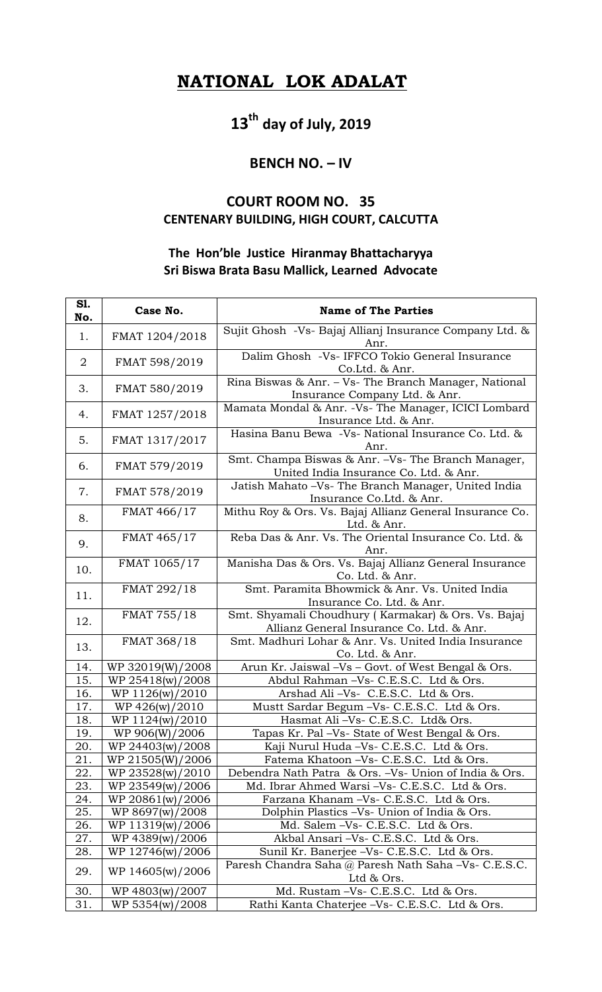## **NATIONAL LOK ADALAT**

# **13th day of July, 2019**

#### **BENCH NO. – IV**

### **COURT ROOM NO. 35 CENTENARY BUILDING, HIGH COURT, CALCUTTA**

#### **The Hon'ble Justice Hiranmay Bhattacharyya Sri Biswa Brata Basu Mallick, Learned Advocate**

| S1.<br>No.     | Case No.         | <b>Name of The Parties</b>                                                                       |
|----------------|------------------|--------------------------------------------------------------------------------------------------|
| 1.             | FMAT 1204/2018   | Sujit Ghosh -Vs- Bajaj Allianj Insurance Company Ltd. &<br>Anr.                                  |
| $\overline{2}$ | FMAT 598/2019    | Dalim Ghosh -Vs- IFFCO Tokio General Insurance<br>Co.Ltd. & Anr.                                 |
| 3.             | FMAT 580/2019    | Rina Biswas & Anr. - Vs- The Branch Manager, National<br>Insurance Company Ltd. & Anr.           |
| 4.             | FMAT 1257/2018   | Mamata Mondal & Anr. -Vs- The Manager, ICICI Lombard<br>Insurance Ltd. & Anr.                    |
| 5.             | FMAT 1317/2017   | Hasina Banu Bewa -Vs- National Insurance Co. Ltd. &<br>Anr.                                      |
| 6.             | FMAT 579/2019    | Smt. Champa Biswas & Anr. -Vs- The Branch Manager,<br>United India Insurance Co. Ltd. & Anr.     |
| 7.             | FMAT 578/2019    | Jatish Mahato -Vs- The Branch Manager, United India<br>Insurance Co.Ltd. & Anr.                  |
| 8.             | FMAT 466/17      | Mithu Roy & Ors. Vs. Bajaj Allianz General Insurance Co.<br>Ltd. & Anr.                          |
| 9.             | FMAT 465/17      | Reba Das & Anr. Vs. The Oriental Insurance Co. Ltd. &<br>Anr.                                    |
| 10.            | FMAT 1065/17     | Manisha Das & Ors. Vs. Bajaj Allianz General Insurance<br>Co. Ltd. & Anr.                        |
| 11.            | FMAT 292/18      | Smt. Paramita Bhowmick & Anr. Vs. United India<br>Insurance Co. Ltd. & Anr.                      |
| 12.            | FMAT 755/18      | Smt. Shyamali Choudhury (Karmakar) & Ors. Vs. Bajaj<br>Allianz General Insurance Co. Ltd. & Anr. |
| 13.            | FMAT 368/18      | Smt. Madhuri Lohar & Anr. Vs. United India Insurance<br>Co. Ltd. & Anr.                          |
| 14.            | WP 32019(W)/2008 | Arun Kr. Jaiswal -Vs - Govt. of West Bengal & Ors.                                               |
| 15.            | WP 25418(w)/2008 | Abdul Rahman -Vs- C.E.S.C. Ltd & Ors.                                                            |
| 16.            | WP 1126(w)/2010  | Arshad Ali-Vs- C.E.S.C. Ltd & Ors.                                                               |
| 17.            | WP 426(w)/2010   | Mustt Sardar Begum -Vs- C.E.S.C. Ltd & Ors.                                                      |
| 18.            | WP 1124(w)/2010  | Hasmat Ali -Vs- C.E.S.C. Ltd& Ors.                                                               |
| 19.            | WP 906(W)/2006   | Tapas Kr. Pal -Vs- State of West Bengal & Ors.                                                   |
| 20.            | WP 24403(w)/2008 | Kaji Nurul Huda - Vs - C.E.S.C. Ltd & Ors.                                                       |
| 21.            | WP 21505(W)/2006 | Fatema Khatoon -Vs- C.E.S.C. Ltd & Ors.                                                          |
| 22.            | WP 23528(w)/2010 | Debendra Nath Patra & Ors. -Vs- Union of India & Ors.                                            |
| 23.            | WP 23549(w)/2006 | Md. Ibrar Ahmed Warsi - Vs- C.E.S.C. Ltd & Ors.                                                  |
| 24.            | WP 20861(w)/2006 | Farzana Khanam -Vs- C.E.S.C. Ltd & Ors.                                                          |
| 25.            | WP 8697(w)/2008  | Dolphin Plastics -Vs- Union of India & Ors.                                                      |
| 26.            | WP 11319(w)/2006 | Md. Salem -Vs- C.E.S.C. Ltd & Ors.                                                               |
| 27.            | WP 4389(w)/2006  | Akbal Ansari -Vs- C.E.S.C. Ltd & Ors.                                                            |
| 28.            | WP 12746(w)/2006 | Sunil Kr. Banerjee -Vs- C.E.S.C. Ltd & Ors.                                                      |
| 29.            | WP 14605(w)/2006 | Paresh Chandra Saha @ Paresh Nath Saha -Vs- C.E.S.C.<br>Ltd & Ors.                               |
| 30.            | WP 4803(w)/2007  | Md. Rustam -Vs- C.E.S.C. Ltd & Ors.                                                              |
| 31.            | WP 5354(w)/2008  | Rathi Kanta Chaterjee -Vs- C.E.S.C. Ltd & Ors.                                                   |